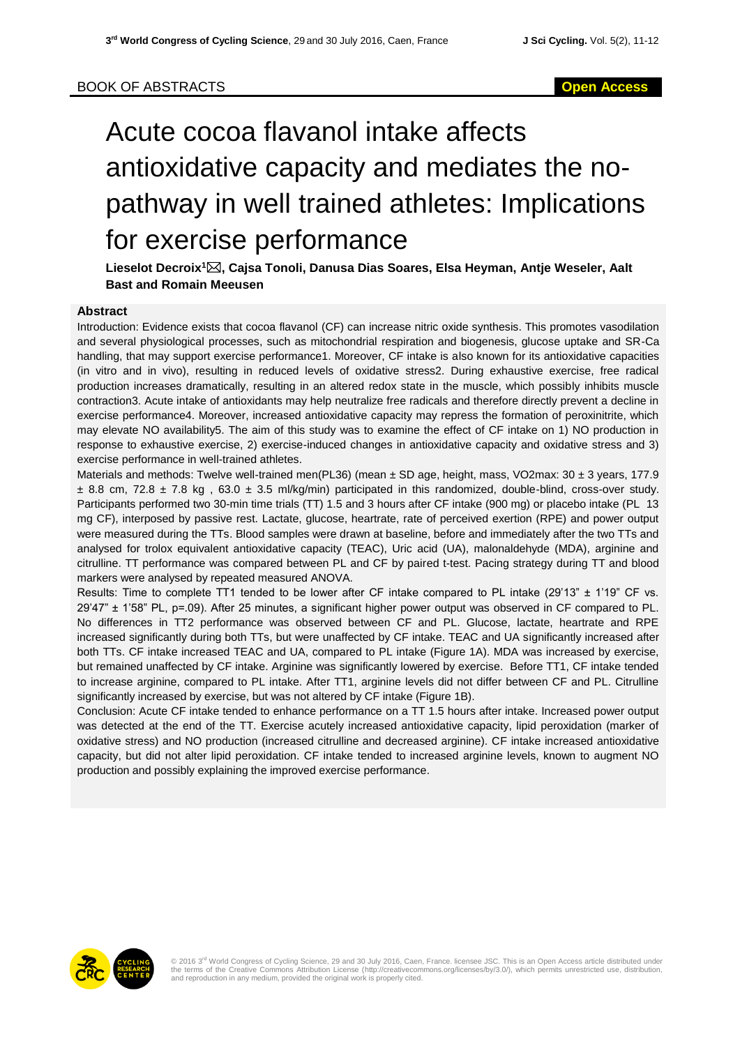# Acute cocoa flavanol intake affects antioxidative capacity and mediates the nopathway in well trained athletes: Implications for exercise performance

**Lieselot Decroix<sup>1</sup>, Cajsa Tonoli, Danusa Dias Soares, Elsa Heyman, Antje Weseler, Aalt Bast and Romain Meeusen**

### **Abstract**

Introduction: Evidence exists that cocoa flavanol (CF) can increase nitric oxide synthesis. This promotes vasodilation and several physiological processes, such as mitochondrial respiration and biogenesis, glucose uptake and SR-Ca handling, that may support exercise performance1. Moreover, CF intake is also known for its antioxidative capacities (in vitro and in vivo), resulting in reduced levels of oxidative stress2. During exhaustive exercise, free radical production increases dramatically, resulting in an altered redox state in the muscle, which possibly inhibits muscle contraction3. Acute intake of antioxidants may help neutralize free radicals and therefore directly prevent a decline in exercise performance4. Moreover, increased antioxidative capacity may repress the formation of peroxinitrite, which may elevate NO availability5. The aim of this study was to examine the effect of CF intake on 1) NO production in response to exhaustive exercise, 2) exercise-induced changes in antioxidative capacity and oxidative stress and 3) exercise performance in well-trained athletes.

Materials and methods: Twelve well-trained men(PL36) (mean ± SD age, height, mass, VO2max: 30 ± 3 years, 177.9  $\pm$  8.8 cm, 72.8  $\pm$  7.8 kg, 63.0  $\pm$  3.5 ml/kg/min) participated in this randomized, double-blind, cross-over study. Participants performed two 30-min time trials (TT) 1.5 and 3 hours after CF intake (900 mg) or placebo intake (PL 13 mg CF), interposed by passive rest. Lactate, glucose, heartrate, rate of perceived exertion (RPE) and power output were measured during the TTs. Blood samples were drawn at baseline, before and immediately after the two TTs and analysed for trolox equivalent antioxidative capacity (TEAC), Uric acid (UA), malonaldehyde (MDA), arginine and citrulline. TT performance was compared between PL and CF by paired t-test. Pacing strategy during TT and blood markers were analysed by repeated measured ANOVA.

Results: Time to complete TT1 tended to be lower after CF intake compared to PL intake (29'13" ± 1'19" CF vs. 29'47" ± 1'58" PL, p=.09). After 25 minutes, a significant higher power output was observed in CF compared to PL. No differences in TT2 performance was observed between CF and PL. Glucose, lactate, heartrate and RPE increased significantly during both TTs, but were unaffected by CF intake. TEAC and UA significantly increased after both TTs. CF intake increased TEAC and UA, compared to PL intake (Figure 1A). MDA was increased by exercise, but remained unaffected by CF intake. Arginine was significantly lowered by exercise. Before TT1, CF intake tended to increase arginine, compared to PL intake. After TT1, arginine levels did not differ between CF and PL. Citrulline significantly increased by exercise, but was not altered by CF intake (Figure 1B).

Conclusion: Acute CF intake tended to enhance performance on a TT 1.5 hours after intake. Increased power output was detected at the end of the TT. Exercise acutely increased antioxidative capacity, lipid peroxidation (marker of oxidative stress) and NO production (increased citrulline and decreased arginine). CF intake increased antioxidative capacity, but did not alter lipid peroxidation. CF intake tended to increased arginine levels, known to augment NO production and possibly explaining the improved exercise performance.